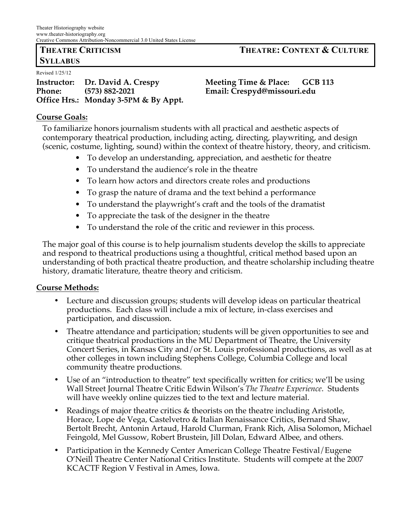# **SYLLABUS**

Revised 1/25/12

**Instructor: Dr. David A. Crespy Meeting Time & Place: GCB 113 Phone: (573) 882-2021 Email: Crespyd@missouri.edu Office Hrs.: Monday 3-5PM & By Appt.**

# **Course Goals:**

To familiarize honors journalism students with all practical and aesthetic aspects of contemporary theatrical production, including acting, directing, playwriting, and design (scenic, costume, lighting, sound) within the context of theatre history, theory, and criticism.

- To develop an understanding, appreciation, and aesthetic for theatre
- To understand the audience's role in the theatre
- To learn how actors and directors create roles and productions
- To grasp the nature of drama and the text behind a performance
- To understand the playwright's craft and the tools of the dramatist
- To appreciate the task of the designer in the theatre
- To understand the role of the critic and reviewer in this process.

The major goal of this course is to help journalism students develop the skills to appreciate and respond to theatrical productions using a thoughtful, critical method based upon an understanding of both practical theatre production, and theatre scholarship including theatre history, dramatic literature, theatre theory and criticism.

# **Course Methods:**

- Lecture and discussion groups; students will develop ideas on particular theatrical productions. Each class will include a mix of lecture, in-class exercises and participation, and discussion.
- Theatre attendance and participation; students will be given opportunities to see and critique theatrical productions in the MU Department of Theatre, the University Concert Series, in Kansas City and/or St. Louis professional productions, as well as at other colleges in town including Stephens College, Columbia College and local community theatre productions.
- Use of an "introduction to theatre" text specifically written for critics; we'll be using Wall Street Journal Theatre Critic Edwin Wilson's *The Theatre Experience*. Students will have weekly online quizzes tied to the text and lecture material.
- Readings of major theatre critics & theorists on the theatre including Aristotle, Horace, Lope de Vega, Castelvetro & Italian Renaissance Critics, Bernard Shaw, Bertolt Brecht, Antonin Artaud, Harold Clurman, Frank Rich, Alisa Solomon, Michael Feingold, Mel Gussow, Robert Brustein, Jill Dolan, Edward Albee, and others.
- Participation in the Kennedy Center American College Theatre Festival/Eugene O'Neill Theatre Center National Critics Institute. Students will compete at the 2007 KCACTF Region V Festival in Ames, Iowa.

**THEATRE CRITICISM THEATRE: CONTEXT & CULTURE**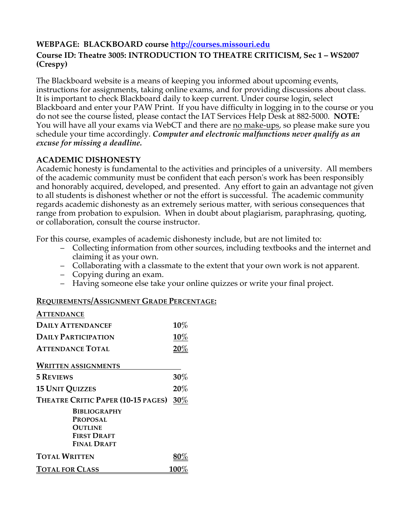# **WEBPAGE: BLACKBOARD course http://courses.missouri.edu**

# **Course ID: Theatre 3005: INTRODUCTION TO THEATRE CRITICISM, Sec 1 – WS2007 (Crespy)**

The Blackboard website is a means of keeping you informed about upcoming events, instructions for assignments, taking online exams, and for providing discussions about class. It is important to check Blackboard daily to keep current. Under course login, select Blackboard and enter your PAW Print. If you have difficulty in logging in to the course or you do not see the course listed, please contact the IAT Services Help Desk at 882-5000. **NOTE:** You will have all your exams via WebCT and there are no make-ups, so please make sure you schedule your time accordingly. *Computer and electronic malfunctions never qualify as an excuse for missing a deadline.*

# **ACADEMIC DISHONESTY**

Academic honesty is fundamental to the activities and principles of a university. All members of the academic community must be confident that each person's work has been responsibly and honorably acquired, developed, and presented. Any effort to gain an advantage not given to all students is dishonest whether or not the effort is successful. The academic community regards academic dishonesty as an extremely serious matter, with serious consequences that range from probation to expulsion. When in doubt about plagiarism, paraphrasing, quoting, or collaboration, consult the course instructor.

For this course, examples of academic dishonesty include, but are not limited to:

- Collecting information from other sources, including textbooks and the internet and claiming it as your own.
- Collaborating with a classmate to the extent that your own work is not apparent.
- Copying during an exam.
- Having someone else take your online quizzes or write your final project.

# **REQUIREMENTS/ASSIGNMENT GRADE PERCENTAGE:**

| ATTENDANCE                             |        |
|----------------------------------------|--------|
| <b>DAILY ATTENDANCEF</b>               | $10\%$ |
| <b>DAILY PARTICIPATION</b>             | $10\%$ |
| <b>ATTENDANCE TOTAL</b>                | $20\%$ |
| <b>WRITTEN ASSIGNMENTS</b>             |        |
| <b>5 REVIEWS</b>                       | $30\%$ |
| <b>15 UNIT QUIZZES</b>                 | 20%    |
| THEATRE CRITIC PAPER (10-15 PAGES)     | $30\%$ |
| <b>BIBLIOGRAPHY</b><br><b>PROPOSAL</b> |        |
| <b>OUTLINE</b><br><b>FIRST DRAFT</b>   |        |
| FINAL DRAFT                            |        |
| <b>TOTAL WRITTEN</b>                   |        |
| dtal for Class                         |        |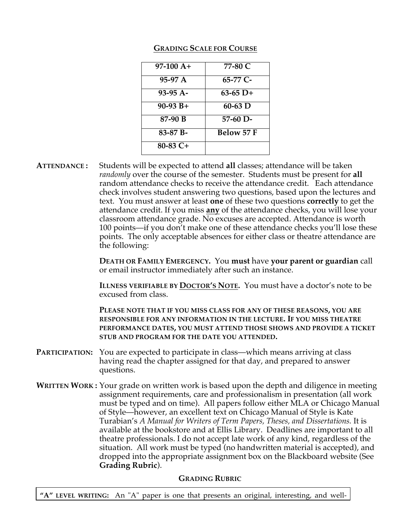| $97-100 A+$ | 77-80 C           |
|-------------|-------------------|
| 95-97 A     | 65-77 C-          |
| $93-95$ A-  | $63-65$ D+        |
| $90-93 B+$  | $60-63$ D         |
| 87-90 B     | $57-60$ D-        |
| 83-87 B-    | <b>Below 57 F</b> |
| $80-83$ C+  |                   |

# **GRADING SCALE FOR COURSE**

**ATTENDANCE :** Students will be expected to attend **all** classes; attendance will be taken *randomly* over the course of the semester. Students must be present for **all** random attendance checks to receive the attendance credit. Each attendance check involves student answering two questions, based upon the lectures and text. You must answer at least **one** of these two questions **correctly** to get the attendance credit. If you miss **any** of the attendance checks, you will lose your classroom attendance grade. No excuses are accepted. Attendance is worth 100 points—if you don't make one of these attendance checks you'll lose these points. The only acceptable absences for either class or theatre attendance are the following:

> **DEATH OR FAMILY EMERGENCY.** You **must** have **your parent or guardian** call or email instructor immediately after such an instance.

> **ILLNESS VERIFIABLE BY DOCTOR'S NOTE.** You must have a doctor's note to be excused from class.

**PLEASE NOTE THAT IF YOU MISS CLASS FOR ANY OF THESE REASONS, YOU ARE RESPONSIBLE FOR ANY INFORMATION IN THE LECTURE. IF YOU MISS THEATRE PERFORMANCE DATES, YOU MUST ATTEND THOSE SHOWS AND PROVIDE A TICKET STUB AND PROGRAM FOR THE DATE YOU ATTENDED.**

- **PARTICIPATION:** You are expected to participate in class—which means arriving at class having read the chapter assigned for that day, and prepared to answer questions.
- **WRITTEN WORK :** Your grade on written work is based upon the depth and diligence in meeting assignment requirements, care and professionalism in presentation (all work must be typed and on time). All papers follow either MLA or Chicago Manual of Style—however, an excellent text on Chicago Manual of Style is Kate Turabian's *A Manual for Writers of Term Papers, Theses, and Dissertations.* It is available at the bookstore and at Ellis Library. Deadlines are important to all theatre professionals. I do not accept late work of any kind, regardless of the situation. All work must be typed (no handwritten material is accepted), and dropped into the appropriate assignment box on the Blackboard website (See **Grading Rubric**).

# **GRADING RUBRIC**

**"A" LEVEL WRITING:** An "A" paper is one that presents an original, interesting, and well-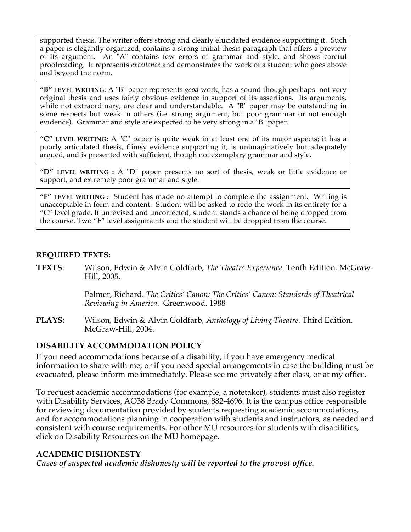supported thesis. The writer offers strong and clearly elucidated evidence supporting it. Such a paper is elegantly organized, contains a strong initial thesis paragraph that offers a preview of its argument. An "A" contains few errors of grammar and style, and shows careful proofreading. It represents *excellence* and demonstrates the work of a student who goes above and beyond the norm.

**"B" LEVEL WRITING**: A "B" paper represents *good* work*,* has a sound though perhaps not very original thesis and uses fairly obvious evidence in support of its assertions. Its arguments, while not extraordinary, are clear and understandable. A "B" paper may be outstanding in some respects but weak in others (i.e. strong argument, but poor grammar or not enough evidence). Grammar and style are expected to be very strong in a "B" paper.

**"C" LEVEL WRITING:** A "C" paper is quite weak in at least one of its major aspects; it has a poorly articulated thesis, flimsy evidence supporting it, is unimaginatively but adequately argued, and is presented with sufficient, though not exemplary grammar and style.

**"D" LEVEL WRITING :** A "D" paper presents no sort of thesis, weak or little evidence or support, and extremely poor grammar and style.

**"F" LEVEL WRITING :** Student has made no attempt to complete the assignment. Writing is unacceptable in form and content. Student will be asked to redo the work in its entirety for a "C" level grade. If unrevised and uncorrected, student stands a chance of being dropped from the course. Two "F" level assignments and the student will be dropped from the course.

# **REQUIRED TEXTS:**

**TEXTS**: Wilson, Edwin & Alvin Goldfarb, *The Theatre Experience*. Tenth Edition. McGraw-Hill, 2005.

> Palmer, Richard. *The Critics' Canon: The Critics' Canon: Standards of Theatrical Reviewing in America*. Greenwood. 1988

**PLAYS:** Wilson, Edwin & Alvin Goldfarb, *Anthology of Living Theatre.* Third Edition. McGraw-Hill, 2004.

### **DISABILITY ACCOMMODATION POLICY**

If you need accommodations because of a disability, if you have emergency medical information to share with me, or if you need special arrangements in case the building must be evacuated, please inform me immediately. Please see me privately after class, or at my office.

To request academic accommodations (for example, a notetaker), students must also register with Disability Services, AO38 Brady Commons, 882-4696. It is the campus office responsible for reviewing documentation provided by students requesting academic accommodations, and for accommodations planning in cooperation with students and instructors, as needed and consistent with course requirements. For other MU resources for students with disabilities, click on Disability Resources on the MU homepage.

# **ACADEMIC DISHONESTY**

*Cases of suspected academic dishonesty will be reported to the provost office.*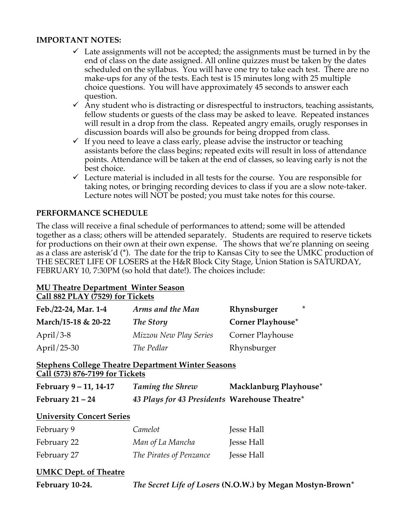## **IMPORTANT NOTES:**

- $\checkmark$  Late assignments will not be accepted; the assignments must be turned in by the end of class on the date assigned. All online quizzes must be taken by the dates scheduled on the syllabus. You will have one try to take each test. There are no make-ups for any of the tests. Each test is 15 minutes long with 25 multiple choice questions. You will have approximately 45 seconds to answer each question.
- $\checkmark$  Any student who is distracting or disrespectful to instructors, teaching assistants, fellow students or guests of the class may be asked to leave. Repeated instances will result in a drop from the class. Repeated angry emails, orugly responses in discussion boards will also be grounds for being dropped from class.
- $\checkmark$  If you need to leave a class early, please advise the instructor or teaching assistants before the class begins; repeated exits will result in loss of attendance points. Attendance will be taken at the end of classes, so leaving early is not the best choice.
- $\checkmark$  Lecture material is included in all tests for the course. You are responsible for taking notes, or bringing recording devices to class if you are a slow note-taker. Lecture notes will NOT be posted; you must take notes for this course.

# **PERFORMANCE SCHEDULE**

The class will receive a final schedule of performances to attend; some will be attended together as a class; others will be attended separately. Students are required to reserve tickets for productions on their own at their own expense. The shows that we're planning on seeing as a class are asterisk'd (\*). The date for the trip to Kansas City to see the UMKC production of THE SECRET LIFE OF LOSERS at the H&R Block City Stage, Union Station is SATURDAY, FEBRUARY 10, 7:30PM (so hold that date!). The choices include:

#### **MU Theatre Department Winter Season Call 882 PLAY (7529) for Tickets**

| Feb./22-24, Mar. 1-4 | Arms and the Man       | $\star$<br>Rhynsburger   |
|----------------------|------------------------|--------------------------|
| March/15-18 & 20-22  | The Story              | <b>Corner Playhouse*</b> |
| April $/3-8$         | Mizzou New Play Series | Corner Playhouse         |
| April $/25-30$       | The Pedlar             | Rhynsburger              |

### **Stephens College Theatre Department Winter Seasons Call (573) 876-7199 for Tickets**

| February 9 – 11, 14-17 | <b>Taming the Shrew</b>                       | Macklanburg Playhouse* |
|------------------------|-----------------------------------------------|------------------------|
| February $21 - 24$     | 43 Plays for 43 Presidents Warehouse Theatre* |                        |

# **University Concert Series**

| February 9  | Camelot                 | <b>Jesse Hall</b> |
|-------------|-------------------------|-------------------|
| February 22 | Man of La Mancha        | <b>Jesse Hall</b> |
| February 27 | The Pirates of Penzance | <b>Jesse Hall</b> |

# **UMKC Dept. of Theatre**

| February 10-24. | The Secret Life of Losers (N.O.W.) by Megan Mostyn-Brown* |  |
|-----------------|-----------------------------------------------------------|--|
|-----------------|-----------------------------------------------------------|--|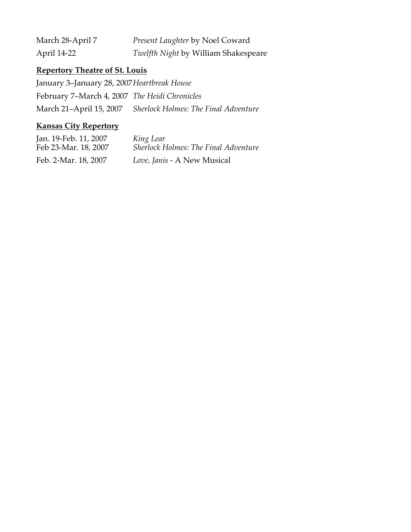| March 28-April 7 | <i>Present Laughter by Noel Coward</i> |
|------------------|----------------------------------------|
| April 14-22      | Twelfth Night by William Shakespeare   |

# **Repertory Theatre of St. Louis**

January 3–January 28, 2007*Heartbreak House* February 7–March 4, 2007 *The Heidi Chronicles* March 21–April 15, 2007 *Sherlock Holmes: The Final Adventure*

# **Kansas City Repertory**

| Jan. 19-Feb. 11, 2007 | King Lear                                   |
|-----------------------|---------------------------------------------|
| Feb 23-Mar. 18, 2007  | <b>Sherlock Holmes: The Final Adventure</b> |
| Feb. 2-Mar. 18, 2007  | Love, Janis - A New Musical                 |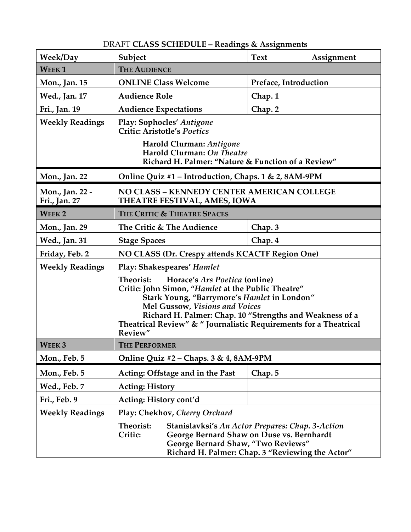# DRAFT **CLASS SCHEDULE – Readings & Assignments**

| <b>Week/Day</b>                  | Subject                                                                                                                                                                                                                                                                                                                              | <b>Text</b> | Assignment |
|----------------------------------|--------------------------------------------------------------------------------------------------------------------------------------------------------------------------------------------------------------------------------------------------------------------------------------------------------------------------------------|-------------|------------|
| <b>WEEK1</b>                     | <b>THE AUDIENCE</b>                                                                                                                                                                                                                                                                                                                  |             |            |
| Mon., Jan. 15                    | <b>ONLINE Class Welcome</b><br>Preface, Introduction                                                                                                                                                                                                                                                                                 |             |            |
| Wed., Jan. 17                    | <b>Audience Role</b>                                                                                                                                                                                                                                                                                                                 | Chap. 1     |            |
| Fri., Jan. 19                    | <b>Audience Expectations</b>                                                                                                                                                                                                                                                                                                         | Chap. 2     |            |
| <b>Weekly Readings</b>           | Play: Sophocles' Antigone<br><b>Critic: Aristotle's Poetics</b>                                                                                                                                                                                                                                                                      |             |            |
|                                  | Harold Clurman: Antigone<br>Harold Clurman: On Theatre<br>Richard H. Palmer: "Nature & Function of a Review"                                                                                                                                                                                                                         |             |            |
| Mon., Jan. 22                    | Online Quiz #1 – Introduction, Chaps. 1 & 2, 8AM-9PM                                                                                                                                                                                                                                                                                 |             |            |
| Mon., Jan. 22 -<br>Fri., Jan. 27 | NO CLASS - KENNEDY CENTER AMERICAN COLLEGE<br>THEATRE FESTIVAL, AMES, IOWA                                                                                                                                                                                                                                                           |             |            |
| WEEK <sub>2</sub>                | THE CRITIC & THEATRE SPACES                                                                                                                                                                                                                                                                                                          |             |            |
| Mon., Jan. 29                    | The Critic & The Audience                                                                                                                                                                                                                                                                                                            | Chap. 3     |            |
| Wed., Jan. 31                    | <b>Stage Spaces</b>                                                                                                                                                                                                                                                                                                                  | Chap. 4     |            |
| Friday, Feb. 2                   | NO CLASS (Dr. Crespy attends KCACTF Region One)                                                                                                                                                                                                                                                                                      |             |            |
| <b>Weekly Readings</b>           | <b>Play: Shakespeares' Hamlet</b>                                                                                                                                                                                                                                                                                                    |             |            |
|                                  | Theorist:<br>Horace's Ars Poetica (online)<br>Critic: John Simon, "Hamlet at the Public Theatre"<br>Stark Young, "Barrymore's Hamlet in London"<br><b>Mel Gussow, Visions and Voices</b><br>Richard H. Palmer: Chap. 10 "Strengths and Weakness of a<br>Theatrical Review" & " Journalistic Requirements for a Theatrical<br>Review" |             |            |
| <b>WEEK3</b>                     | <b>THE PERFORMER</b>                                                                                                                                                                                                                                                                                                                 |             |            |
| Mon., Feb. 5                     | Online Quiz #2 - Chaps. 3 & 4, 8AM-9PM                                                                                                                                                                                                                                                                                               |             |            |
| Mon., Feb. 5                     | Acting: Offstage and in the Past                                                                                                                                                                                                                                                                                                     | Chap. 5     |            |
| Wed., Feb. 7                     | <b>Acting: History</b>                                                                                                                                                                                                                                                                                                               |             |            |
| Fri., Feb. 9                     | Acting: History cont'd                                                                                                                                                                                                                                                                                                               |             |            |
| <b>Weekly Readings</b>           | Play: Chekhov, Cherry Orchard                                                                                                                                                                                                                                                                                                        |             |            |
|                                  | Theorist:<br>Stanislavksi's An Actor Prepares: Chap. 3-Action<br>Critic:<br>George Bernard Shaw on Duse vs. Bernhardt<br>George Bernard Shaw, "Two Reviews"<br>Richard H. Palmer: Chap. 3 "Reviewing the Actor"                                                                                                                      |             |            |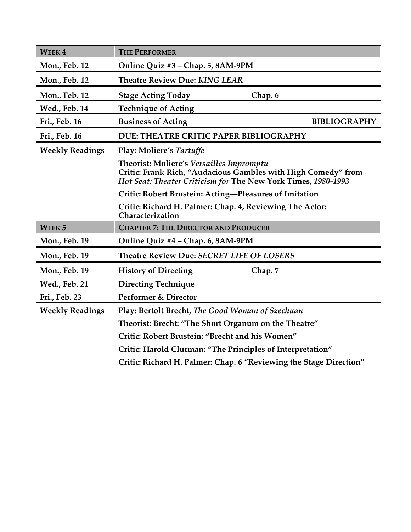| <b>WEEK4</b>           | <b>THE PERFORMER</b>                                                                                                                                                       |         |                     |  |
|------------------------|----------------------------------------------------------------------------------------------------------------------------------------------------------------------------|---------|---------------------|--|
| Mon., Feb. 12          | Online Quiz #3 - Chap. 5, 8AM-9PM                                                                                                                                          |         |                     |  |
| Mon., Feb. 12          | <b>Theatre Review Due: KING LEAR</b>                                                                                                                                       |         |                     |  |
| Mon., Feb. 12          | <b>Stage Acting Today</b>                                                                                                                                                  | Chap. 6 |                     |  |
| <b>Wed., Feb. 14</b>   | <b>Technique of Acting</b>                                                                                                                                                 |         |                     |  |
| Fri., Feb. 16          | <b>Business of Acting</b>                                                                                                                                                  |         | <b>BIBLIOGRAPHY</b> |  |
| Fri., Feb. 16          | DUE: THEATRE CRITIC PAPER BIBLIOGRAPHY                                                                                                                                     |         |                     |  |
| <b>Weekly Readings</b> | Play: Moliere's Tartuffe                                                                                                                                                   |         |                     |  |
|                        | Theorist: Moliere's Versailles Impromptu<br>Critic: Frank Rich, "Audacious Gambles with High Comedy" from<br>Hot Seat: Theater Criticism for The New York Times, 1980-1993 |         |                     |  |
|                        | Critic: Robert Brustein: Acting-Pleasures of Imitation                                                                                                                     |         |                     |  |
|                        | Critic: Richard H. Palmer: Chap. 4, Reviewing The Actor:<br>Characterization                                                                                               |         |                     |  |
| WEEK <sub>5</sub>      | <b>CHAPTER 7: THE DIRECTOR AND PRODUCER</b>                                                                                                                                |         |                     |  |
| Mon., Feb. 19          | Online Quiz #4 - Chap. 6, 8AM-9PM                                                                                                                                          |         |                     |  |
| Mon., Feb. 19          | Theatre Review Due: SECRET LIFE OF LOSERS                                                                                                                                  |         |                     |  |
| Mon., Feb. 19          | <b>History of Directing</b>                                                                                                                                                | Chap. 7 |                     |  |
| <b>Wed., Feb. 21</b>   | <b>Directing Technique</b>                                                                                                                                                 |         |                     |  |
| Fri., Feb. 23          | Performer & Director                                                                                                                                                       |         |                     |  |
| <b>Weekly Readings</b> | Play: Bertolt Brecht, The Good Woman of Szechuan                                                                                                                           |         |                     |  |
|                        | Theorist: Brecht: "The Short Organum on the Theatre"                                                                                                                       |         |                     |  |
|                        | Critic: Robert Brustein: "Brecht and his Women"                                                                                                                            |         |                     |  |
|                        | Critic: Harold Clurman: "The Principles of Interpretation"                                                                                                                 |         |                     |  |
|                        | Critic: Richard H. Palmer: Chap. 6 "Reviewing the Stage Direction"                                                                                                         |         |                     |  |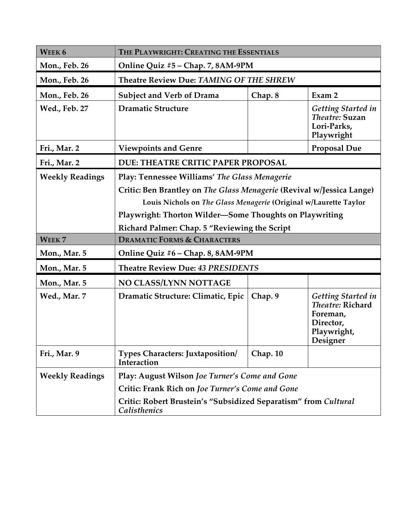| WEEK <sub>6</sub>      | THE PLAYWRIGHT: CREATING THE ESSENTIALS                                                                                                                                                                                                               |          |                                                                                                   |
|------------------------|-------------------------------------------------------------------------------------------------------------------------------------------------------------------------------------------------------------------------------------------------------|----------|---------------------------------------------------------------------------------------------------|
| <b>Mon., Feb. 26</b>   | Online Quiz #5 - Chap. 7, 8AM-9PM                                                                                                                                                                                                                     |          |                                                                                                   |
| Mon., Feb. 26          | Theatre Review Due: TAMING OF THE SHREW                                                                                                                                                                                                               |          |                                                                                                   |
| Mon., Feb. 26          | <b>Subject and Verb of Drama</b><br>Exam 2<br>Chap. 8                                                                                                                                                                                                 |          |                                                                                                   |
| Wed., Feb. 27          | <b>Dramatic Structure</b>                                                                                                                                                                                                                             |          | <b>Getting Started in</b><br>Theatre: Suzan<br>Lori-Parks,<br>Playwright                          |
| Fri., Mar. 2           | <b>Viewpoints and Genre</b>                                                                                                                                                                                                                           |          | <b>Proposal Due</b>                                                                               |
| Fri., Mar. 2           | DUE: THEATRE CRITIC PAPER PROPOSAL                                                                                                                                                                                                                    |          |                                                                                                   |
| <b>Weekly Readings</b> | Play: Tennessee Williams' The Glass Menagerie<br>Critic: Ben Brantley on The Glass Menagerie (Revival w/Jessica Lange)<br>Louis Nichols on The Glass Menagerie (Original w/Laurette Taylor<br>Playwright: Thorton Wilder-Some Thoughts on Playwriting |          |                                                                                                   |
|                        | Richard Palmer: Chap. 5 "Reviewing the Script                                                                                                                                                                                                         |          |                                                                                                   |
| WEEK <sub>7</sub>      | <b>DRAMATIC FORMS &amp; CHARACTERS</b>                                                                                                                                                                                                                |          |                                                                                                   |
| Mon., Mar. 5           | Online Quiz #6 - Chap. 8, 8AM-9PM                                                                                                                                                                                                                     |          |                                                                                                   |
| Mon., Mar. 5           | Theatre Review Due: 43 PRESIDENTS                                                                                                                                                                                                                     |          |                                                                                                   |
| Mon., Mar. 5           | NO CLASS/LYNN NOTTAGE                                                                                                                                                                                                                                 |          |                                                                                                   |
| Wed., Mar. 7           | Dramatic Structure: Climatic, Epic                                                                                                                                                                                                                    | Chap. 9  | <b>Getting Started in</b><br>Theatre: Richard<br>Foreman,<br>Director,<br>Playwright,<br>Designer |
| Fri., Mar. 9           | <b>Types Characters: Juxtaposition/</b><br>Interaction                                                                                                                                                                                                | Chap. 10 |                                                                                                   |
| <b>Weekly Readings</b> | Play: August Wilson Joe Turner's Come and Gone                                                                                                                                                                                                        |          |                                                                                                   |
|                        | Critic: Frank Rich on Joe Turner's Come and Gone                                                                                                                                                                                                      |          |                                                                                                   |
|                        | Critic: Robert Brustein's "Subsidized Separatism" from Cultural<br><b>Calisthenics</b>                                                                                                                                                                |          |                                                                                                   |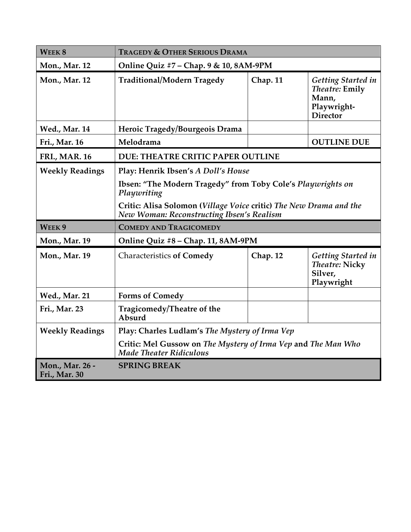| WEEK <sub>8</sub>                | <b>TRAGEDY &amp; OTHER SERIOUS DRAMA</b>                                                                                                                                                                                             |          |                                                                                        |
|----------------------------------|--------------------------------------------------------------------------------------------------------------------------------------------------------------------------------------------------------------------------------------|----------|----------------------------------------------------------------------------------------|
| Mon., Mar. 12                    | Online Quiz #7 - Chap. 9 & 10, 8AM-9PM                                                                                                                                                                                               |          |                                                                                        |
| <b>Mon., Mar. 12</b>             | <b>Traditional/Modern Tragedy</b>                                                                                                                                                                                                    | Chap. 11 | <b>Getting Started in</b><br>Theatre: Emily<br>Mann,<br>Playwright-<br><b>Director</b> |
| <b>Wed., Mar. 14</b>             | Heroic Tragedy/Bourgeois Drama                                                                                                                                                                                                       |          |                                                                                        |
| Fri., Mar. 16                    | Melodrama                                                                                                                                                                                                                            |          | <b>OUTLINE DUE</b>                                                                     |
| <b>FRI., MAR. 16</b>             | DUE: THEATRE CRITIC PAPER OUTLINE                                                                                                                                                                                                    |          |                                                                                        |
| <b>Weekly Readings</b>           | Play: Henrik Ibsen's A Doll's House<br>Ibsen: "The Modern Tragedy" from Toby Cole's Playwrights on<br>Playwriting<br>Critic: Alisa Solomon (Village Voice critic) The New Drama and the<br>New Woman: Reconstructing Ibsen's Realism |          |                                                                                        |
| WEEK <sub>9</sub>                | <b>COMEDY AND TRAGICOMEDY</b>                                                                                                                                                                                                        |          |                                                                                        |
| Mon., Mar. 19                    | Online Quiz #8 - Chap. 11, 8AM-9PM                                                                                                                                                                                                   |          |                                                                                        |
| Mon., Mar. 19                    | <b>Characteristics of Comedy</b>                                                                                                                                                                                                     | Chap. 12 | <b>Getting Started in</b><br><b>Theatre: Nicky</b><br>Silver,<br>Playwright            |
| <b>Wed., Mar. 21</b>             | <b>Forms of Comedy</b>                                                                                                                                                                                                               |          |                                                                                        |
| Fri., Mar. 23                    | Tragicomedy/Theatre of the<br>Absurd                                                                                                                                                                                                 |          |                                                                                        |
| <b>Weekly Readings</b>           | Play: Charles Ludlam's The Mystery of Irma Vep                                                                                                                                                                                       |          |                                                                                        |
|                                  | Critic: Mel Gussow on The Mystery of Irma Vep and The Man Who<br><b>Made Theater Ridiculous</b>                                                                                                                                      |          |                                                                                        |
| Mon., Mar. 26 -<br>Fri., Mar. 30 | <b>SPRING BREAK</b>                                                                                                                                                                                                                  |          |                                                                                        |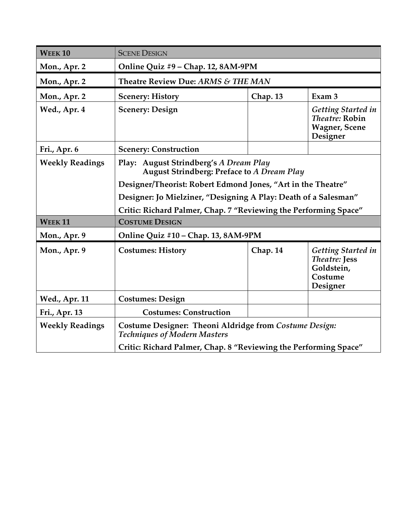| <b>WEEK10</b>          | <b>SCENE DESIGN</b>                                                                            |          |                                                                                         |  |
|------------------------|------------------------------------------------------------------------------------------------|----------|-----------------------------------------------------------------------------------------|--|
| Mon., Apr. 2           | Online Quiz #9 - Chap. 12, 8AM-9PM                                                             |          |                                                                                         |  |
| Mon., Apr. 2           | Theatre Review Due: ARMS & THE MAN                                                             |          |                                                                                         |  |
| Mon., Apr. 2           | <b>Scenery: History</b>                                                                        | Chap. 13 | Exam <sub>3</sub>                                                                       |  |
| Wed., Apr. 4           | <b>Scenery: Design</b>                                                                         |          | <b>Getting Started in</b><br><i>Theatre:</i> Robin<br><b>Wagner</b> , Scene<br>Designer |  |
| Fri., Apr. 6           | <b>Scenery: Construction</b>                                                                   |          |                                                                                         |  |
| <b>Weekly Readings</b> | <b>August Strindberg's A Dream Play</b><br>Play:<br>August Strindberg: Preface to A Dream Play |          |                                                                                         |  |
|                        | Designer/Theorist: Robert Edmond Jones, "Art in the Theatre"                                   |          |                                                                                         |  |
|                        | Designer: Jo Mielziner, "Designing A Play: Death of a Salesman"                                |          |                                                                                         |  |
|                        | Critic: Richard Palmer, Chap. 7 "Reviewing the Performing Space"                               |          |                                                                                         |  |
| <b>WEEK11</b>          | <b>COSTUME DESIGN</b>                                                                          |          |                                                                                         |  |
| Mon., Apr. 9           | Online Quiz #10 - Chap. 13, 8AM-9PM                                                            |          |                                                                                         |  |
| Mon., Apr. 9           | <b>Costumes: History</b>                                                                       | Chap. 14 | Getting Started in<br><b>Theatre: Jess</b><br>Goldstein,<br>Costume<br>Designer         |  |
| <b>Wed., Apr. 11</b>   | <b>Costumes: Design</b>                                                                        |          |                                                                                         |  |
| Fri., Apr. 13          | <b>Costumes: Construction</b>                                                                  |          |                                                                                         |  |
| <b>Weekly Readings</b> | Costume Designer: Theoni Aldridge from Costume Design:<br><b>Techniques of Modern Masters</b>  |          |                                                                                         |  |
|                        | Critic: Richard Palmer, Chap. 8 "Reviewing the Performing Space"                               |          |                                                                                         |  |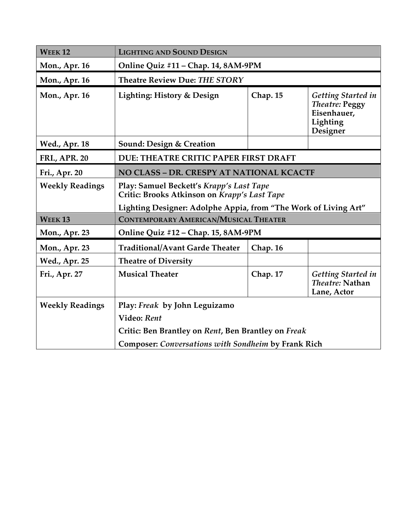| <b>WEEK12</b>          | <b>LIGHTING AND SOUND DESIGN</b>                                                                         |          |                                                                                           |  |
|------------------------|----------------------------------------------------------------------------------------------------------|----------|-------------------------------------------------------------------------------------------|--|
| Mon., Apr. 16          | Online Quiz #11 - Chap. 14, 8AM-9PM                                                                      |          |                                                                                           |  |
| Mon., Apr. 16          | Theatre Review Due: THE STORY                                                                            |          |                                                                                           |  |
| Mon., Apr. 16          | Lighting: History & Design                                                                               | Chap. 15 | <b>Getting Started in</b><br><b>Theatre: Peggy</b><br>Eisenhauer,<br>Lighting<br>Designer |  |
| <b>Wed., Apr. 18</b>   | Sound: Design & Creation                                                                                 |          |                                                                                           |  |
| <b>FRI., APR. 20</b>   | DUE: THEATRE CRITIC PAPER FIRST DRAFT                                                                    |          |                                                                                           |  |
| Fri., Apr. 20          | NO CLASS - DR. CRESPY AT NATIONAL KCACTF                                                                 |          |                                                                                           |  |
| <b>Weekly Readings</b> | Play: Samuel Beckett's Krapp's Last Tape<br>Critic: Brooks Atkinson on Krapp's Last Tape                 |          |                                                                                           |  |
| <b>WEEK13</b>          | Lighting Designer: Adolphe Appia, from "The Work of Living Art"<br>CONTEMPORARY AMERICAN/MUSICAL THEATER |          |                                                                                           |  |
| Mon., Apr. 23          | Online Quiz #12 - Chap. 15, 8AM-9PM                                                                      |          |                                                                                           |  |
| Mon., Apr. 23          | <b>Traditional/Avant Garde Theater</b>                                                                   | Chap. 16 |                                                                                           |  |
| <b>Wed., Apr. 25</b>   | <b>Theatre of Diversity</b>                                                                              |          |                                                                                           |  |
| Fri., Apr. 27          | <b>Musical Theater</b>                                                                                   | Chap. 17 | <b>Getting Started in</b><br>Theatre: Nathan<br>Lane, Actor                               |  |
| <b>Weekly Readings</b> | Play: Freak by John Leguizamo                                                                            |          |                                                                                           |  |
|                        | Video: Rent                                                                                              |          |                                                                                           |  |
|                        | Critic: Ben Brantley on Rent, Ben Brantley on Freak                                                      |          |                                                                                           |  |
|                        | Composer: Conversations with Sondheim by Frank Rich                                                      |          |                                                                                           |  |